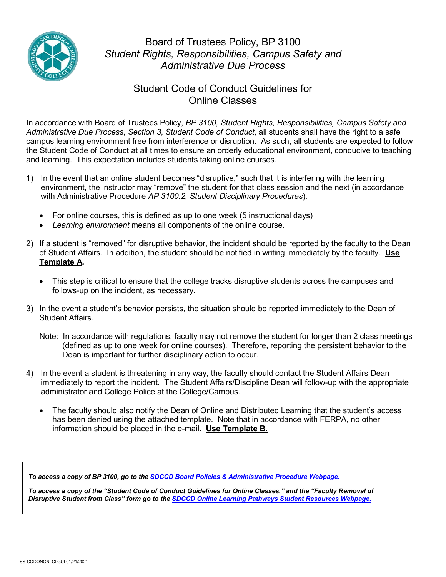

#### Board of Trustees Policy, BP 3100 *Student Rights, Responsibilities, Campus Safety and Administrative Due Process*

#### Student Code of Conduct Guidelines for Online Classes

In accordance with Board of Trustees Policy, *BP 3100, Student Rights, Responsibilities, Campus Safety and Administrative Due Process*, *Section 3*, *Student Code of Conduct*, all students shall have the right to a safe campus learning environment free from interference or disruption. As such, all students are expected to follow the Student Code of Conduct at all times to ensure an orderly educational environment, conducive to teaching and learning. This expectation includes students taking online courses.

- 1) In the event that an online student becomes "disruptive," such that it is interfering with the learning environment, the instructor may "remove" the student for that class session and the next (in accordance with Administrative Procedure *AP 3100.2, Student Disciplinary Procedures*).
	- For online courses, this is defined as up to one week (5 instructional days)
	- *Learning environment* means all components of the online course.
- 2) If a student is "removed" for disruptive behavior, the incident should be reported by the faculty to the Dean of Student Affairs. In addition, the student should be notified in writing immediately by the faculty. **Use Template A.**
	- This step is critical to ensure that the college tracks disruptive students across the campuses and follows-up on the incident, as necessary.
- 3) In the event a student's behavior persists, the situation should be reported immediately to the Dean of Student Affairs.
	- Note: In accordance with regulations, faculty may not remove the student for longer than 2 class meetings (defined as up to one week for online courses). Therefore, reporting the persistent behavior to the Dean is important for further disciplinary action to occur.
- 4) In the event a student is threatening in any way, the faculty should contact the Student Affairs Dean immediately to report the incident. The Student Affairs/Discipline Dean will follow-up with the appropriate administrator and College Police at the College/Campus.
	- The faculty should also notify the Dean of Online and Distributed Learning that the student's access has been denied using the attached template. Note that in accordance with FERPA, no other information should be placed in the e-mail. **Use Template B.**

*To access a copy of BP 3100, go to the SDCCD Board Policies & Administrative Procedure Webpage.*

*To access a copy of the "Student Code of Conduct Guidelines for Online Classes," and the "Faculty Removal of Disruptive Student from Class" form go to the SDCCD Online Learning Pathways [Student Resources Webpage.](https://www.sdccd.edu/about/departments-and-offices/instructional-services-division/online-learning-pathways-1/students/student%20resources.aspx)*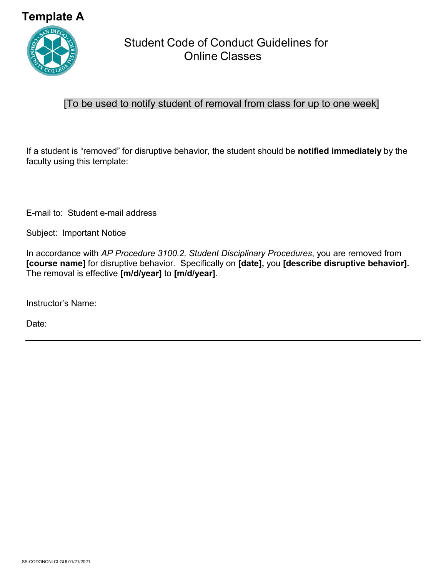# **Template A**



Student Code of Conduct Guidelines for Online Classes

#### [To be used to notify student of removal from class for up to one week]

If a student is "removed" for disruptive behavior, the student should be **notified immediately** by the faculty using this template:

E-mail to: Student e-mail address

Subject: Important Notice

In accordance with *AP Procedure 3100.2, Student Disciplinary Procedures*, you are removed from **[course name]** for disruptive behavior. Specifically on **[date],** you **[describe disruptive behavior].** The removal is effective **[m/d/year]** to **[m/d/year]**.

Instructor's Name:

Date: